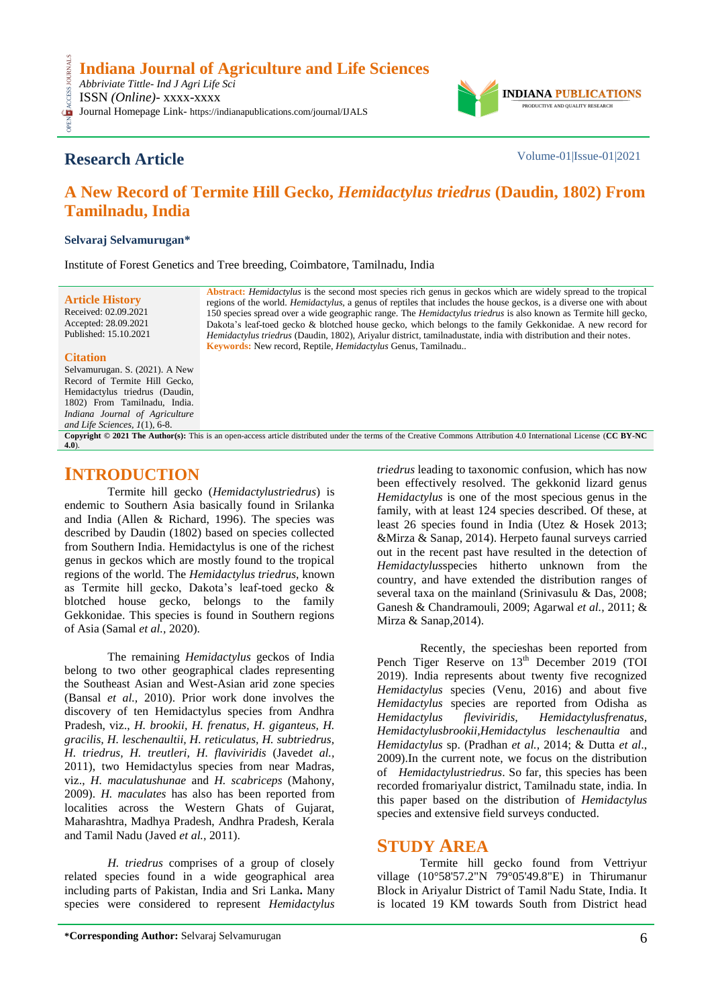

## **Research Article** Volume-01|Issue-01|2021

# **A New Record of Termite Hill Gecko,** *Hemidactylus triedrus* **(Daudin, 1802) From Tamilnadu, India**

#### **Selvaraj Selvamurugan\***

Institute of Forest Genetics and Tree breeding, Coimbatore, Tamilnadu, India

**Article History** Received: 02.09.2021 Accepted: 28.09.2021 Published: 15.10.2021

**Abstract:** *Hemidactylus* is the second most species rich genus in geckos which are widely spread to the tropical regions of the world. *Hemidactylus,* a genus of reptiles that includes the house geckos, is a diverse one with about 150 species spread over a wide geographic range. The *Hemidactylus triedrus* is also known as Termite hill gecko, Dakota's leaf-toed gecko & blotched house gecko, which belongs to the family Gekkonidae. A new record for *Hemidactylus triedrus* (Daudin, 1802), Ariyalur district, tamilnadustate, india with distribution and their notes. **Keywords:** New record, Reptile, *Hemidactylus* Genus, Tamilnadu..

#### **Citation**

**CESS** 

Selvamurugan. S. (2021). A New Record of Termite Hill Gecko, Hemidactylus triedrus (Daudin, 1802) From Tamilnadu, India. *Indiana Journal of Agriculture and Life Sciences, 1*(1), 6-8.

**Copyright © 2021 The Author(s):** This is an open-access article distributed under the terms of the Creative Commons Attribution 4.0 International License (**[CC BY-NC](https://creativecommons.org/licenses/by-nc/4.0/)  [4.0](https://creativecommons.org/licenses/by-nc/4.0/)**).

### **INTRODUCTION**

Termite hill gecko (*Hemidactylustriedrus*) is endemic to Southern Asia basically found in Srilanka and India (Allen & Richard, 1996). The species was described by Daudin (1802) based on species collected from Southern India. Hemidactylus is one of the richest genus in geckos which are mostly found to the tropical regions of the world. The *Hemidactylus triedrus*, known as Termite hill gecko, Dakota's leaf-toed gecko & blotched house gecko, belongs to the family Gekkonidae. This species is found in Southern regions of Asia (Samal *et al.,* 2020).

The remaining *Hemidactylus* geckos of India belong to two other geographical clades representing the Southeast Asian and West-Asian arid zone species (Bansal *et al.,* 2010). Prior work done involves the discovery of ten Hemidactylus species from Andhra Pradesh, viz., *H. brookii, H. frenatus, H. giganteus, H. gracilis, H. leschenaultii, H. reticulatus, H. subtriedrus, H. triedrus, H. treutleri, H. flaviviridis* (Javed*et al.,* 2011), two Hemidactylus species from near Madras, viz., *H. maculatushunae* and *H. scabriceps* (Mahony, 2009). *H. maculates* has also has been reported from localities across the Western Ghats of Gujarat, Maharashtra, Madhya Pradesh, Andhra Pradesh, Kerala and Tamil Nadu (Javed *et al.,* 2011).

*H. triedrus* comprises of a group of closely related species found in a wide geographical area including parts of Pakistan, India and Sri Lanka**.** Many species were considered to represent *Hemidactylus* *triedrus* leading to taxonomic confusion, which has now been effectively resolved. The gekkonid lizard genus *Hemidactylus* is one of the most specious genus in the family, with at least 124 species described. Of these, at least 26 species found in India (Utez & Hosek 2013; &Mirza & Sanap, 2014). Herpeto faunal surveys carried out in the recent past have resulted in the detection of *Hemidactylus*species hitherto unknown from the country, and have extended the distribution ranges of several taxa on the mainland (Srinivasulu & Das, 2008; Ganesh & Chandramouli, 2009; Agarwal *et al.,* 2011; & Mirza & Sanap,2014).

Recently, the specieshas been reported from Pench Tiger Reserve on  $13<sup>th</sup>$  December 2019 (TOI 2019). India represents about twenty five recognized *Hemidactylus* species (Venu, 2016) and about five *Hemidactylus* species are reported from Odisha as *Hemidactylus fleviviridis, Hemidactylusfrenatus, Hemidactylusbrookii,Hemidactylus leschenaultia* and *Hemidactylus* sp. (Pradhan *et al.,* 2014; & Dutta *et al*., 2009).In the current note, we focus on the distribution of *Hemidactylustriedrus*. So far, this species has been recorded fromariyalur district, Tamilnadu state, india. In this paper based on the distribution of *Hemidactylus* species and extensive field surveys conducted.

### **STUDY AREA**

Termite hill gecko found from Vettriyur village (10°58'57.2"N 79°05'49.8"E) in Thirumanur Block in Ariyalur District of Tamil Nadu State, India. It is located 19 KM towards South from District head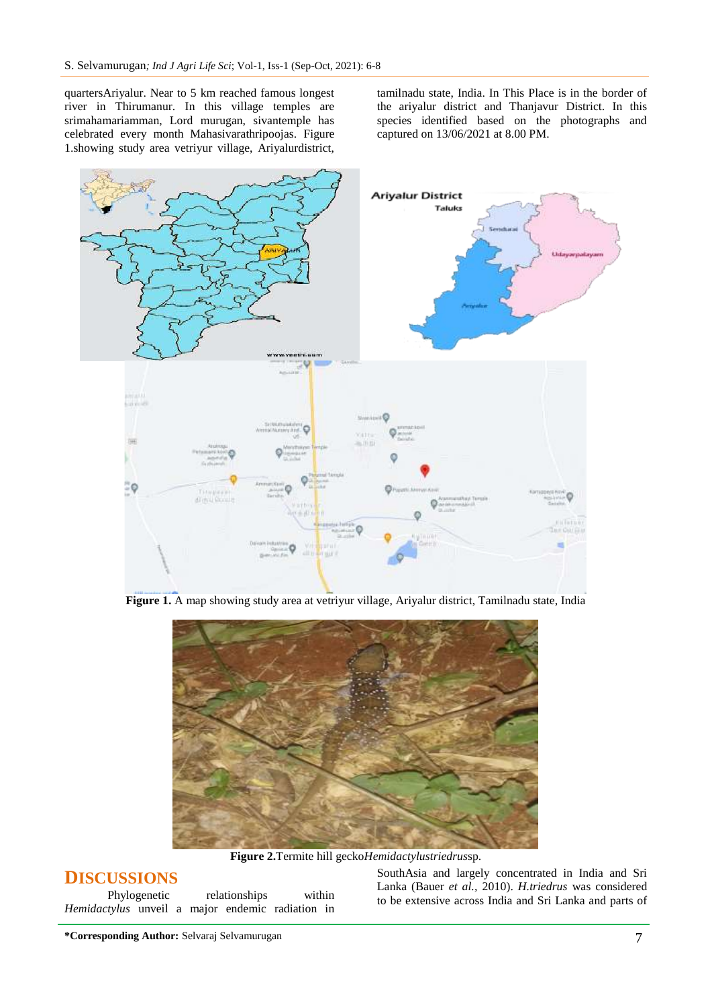quartersAriyalur. Near to 5 km reached famous longest river in Thirumanur. In this village temples are srimahamariamman, Lord murugan, sivantemple has celebrated every month Mahasivarathripoojas. Figure 1.showing study area vetriyur village, Ariyalurdistrict,

tamilnadu state, India. In This Place is in the border of the ariyalur district and Thanjavur District. In this species identified based on the photographs and captured on 13/06/2021 at 8.00 PM.



**Figure 1.** A map showing study area at vetriyur village, Ariyalur district, Tamilnadu state, India



**Figure 2.**Termite hill gecko*Hemidactylustriedrus*sp.

#### **DISCUSSIONS**

| Phylogenetic                                     |  |  | relationships |  | within |  |
|--------------------------------------------------|--|--|---------------|--|--------|--|
| Hemidactylus unveil a major endemic radiation in |  |  |               |  |        |  |

SouthAsia and largely concentrated in India and Sri Lanka (Bauer *et al.,* 2010). *H.triedrus* was considered to be extensive across India and Sri Lanka and parts of